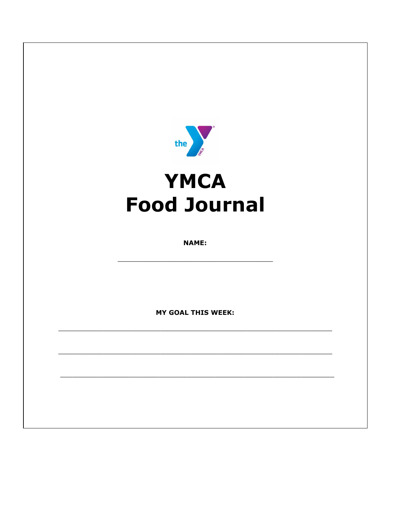

# **YMCA Food Journal**

**NAME:** 

**MY GOAL THIS WEEK:**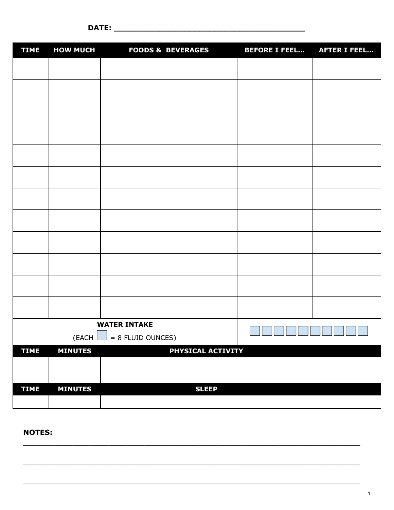| <b>TIME</b>                    | <b>HOW MUCH</b> | <b>FOODS &amp; BEVERAGES</b> | <b>BEFORE I FEEL</b> | <b>AFTER I FEEL</b> |
|--------------------------------|-----------------|------------------------------|----------------------|---------------------|
|                                |                 |                              |                      |                     |
|                                |                 |                              |                      |                     |
|                                |                 |                              |                      |                     |
|                                |                 |                              |                      |                     |
|                                |                 |                              |                      |                     |
|                                |                 |                              |                      |                     |
|                                |                 |                              |                      |                     |
|                                |                 |                              |                      |                     |
|                                |                 |                              |                      |                     |
|                                |                 |                              |                      |                     |
|                                |                 |                              |                      |                     |
|                                |                 |                              |                      |                     |
| <b>WATER INTAKE</b>            |                 |                              |                      |                     |
| $= 8$ FLUID OUNCES)<br>(EACH L |                 | لسالسا لسالسا لسالسا لسالسا  |                      |                     |
| <b>TIME</b>                    | <b>MINUTES</b>  | PHYSICAL ACTIVITY            |                      |                     |
|                                |                 |                              |                      |                     |
|                                |                 |                              |                      |                     |
| <b>TIME</b>                    | <b>MINUTES</b>  | <b>SLEEP</b>                 |                      |                     |
|                                |                 |                              |                      |                     |

\_\_\_\_\_\_\_\_\_\_\_\_\_\_\_\_\_\_\_\_\_\_\_\_\_\_\_\_\_\_\_\_\_\_\_\_\_\_\_\_\_\_\_\_\_\_\_\_\_\_\_\_\_\_\_\_\_\_\_\_\_\_\_\_\_\_\_\_\_\_\_\_\_\_\_

\_\_\_\_\_\_\_\_\_\_\_\_\_\_\_\_\_\_\_\_\_\_\_\_\_\_\_\_\_\_\_\_\_\_\_\_\_\_\_\_\_\_\_\_\_\_\_\_\_\_\_\_\_\_\_\_\_\_\_\_\_\_\_\_\_\_\_\_\_\_\_\_\_\_\_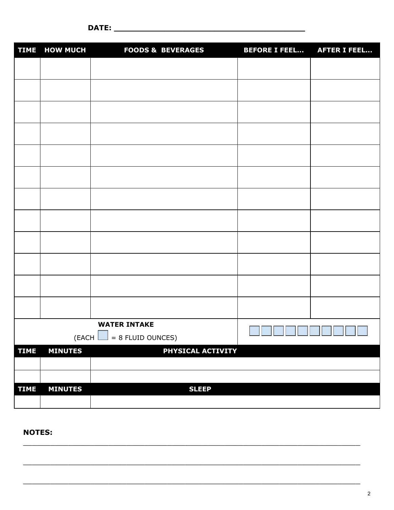| <b>TIME</b>                                                | <b>HOW MUCH</b> | <b>FOODS &amp; BEVERAGES</b>                                                     | <b>BEFORE I FEEL</b> | <b>AFTER I FEEL</b> |
|------------------------------------------------------------|-----------------|----------------------------------------------------------------------------------|----------------------|---------------------|
|                                                            |                 |                                                                                  |                      |                     |
|                                                            |                 |                                                                                  |                      |                     |
|                                                            |                 |                                                                                  |                      |                     |
|                                                            |                 |                                                                                  |                      |                     |
|                                                            |                 |                                                                                  |                      |                     |
|                                                            |                 |                                                                                  |                      |                     |
|                                                            |                 |                                                                                  |                      |                     |
|                                                            |                 |                                                                                  |                      |                     |
|                                                            |                 |                                                                                  |                      |                     |
|                                                            |                 |                                                                                  |                      |                     |
|                                                            |                 |                                                                                  |                      |                     |
|                                                            |                 |                                                                                  |                      |                     |
| <b>WATER INTAKE</b><br>$(EACH \bigsqcup = 8 FLUID OUNCES)$ |                 | $\Box$ $\Box$<br>$\mathbb{Z}^2$ , $\mathbb{Z}^2$<br>U L<br><u>______________</u> |                      |                     |
| <b>TIME</b>                                                | <b>MINUTES</b>  | PHYSICAL ACTIVITY                                                                |                      |                     |
|                                                            |                 |                                                                                  |                      |                     |
|                                                            |                 |                                                                                  |                      |                     |
| <b>TIME</b>                                                | <b>MINUTES</b>  | <b>SLEEP</b>                                                                     |                      |                     |
|                                                            |                 |                                                                                  |                      |                     |

 $\mathcal{L}_\mathcal{L} = \{ \mathcal{L}_\mathcal{L} = \{ \mathcal{L}_\mathcal{L} = \{ \mathcal{L}_\mathcal{L} = \{ \mathcal{L}_\mathcal{L} = \{ \mathcal{L}_\mathcal{L} = \{ \mathcal{L}_\mathcal{L} = \{ \mathcal{L}_\mathcal{L} = \{ \mathcal{L}_\mathcal{L} = \{ \mathcal{L}_\mathcal{L} = \{ \mathcal{L}_\mathcal{L} = \{ \mathcal{L}_\mathcal{L} = \{ \mathcal{L}_\mathcal{L} = \{ \mathcal{L}_\mathcal{L} = \{ \mathcal{L}_\mathcal{$ 

\_\_\_\_\_\_\_\_\_\_\_\_\_\_\_\_\_\_\_\_\_\_\_\_\_\_\_\_\_\_\_\_\_\_\_\_\_\_\_\_\_\_\_\_\_\_\_\_\_\_\_\_\_\_\_\_\_\_\_\_\_\_\_\_\_\_\_\_\_\_\_\_\_\_\_

\_\_\_\_\_\_\_\_\_\_\_\_\_\_\_\_\_\_\_\_\_\_\_\_\_\_\_\_\_\_\_\_\_\_\_\_\_\_\_\_\_\_\_\_\_\_\_\_\_\_\_\_\_\_\_\_\_\_\_\_\_\_\_\_\_\_\_\_\_\_\_\_\_\_\_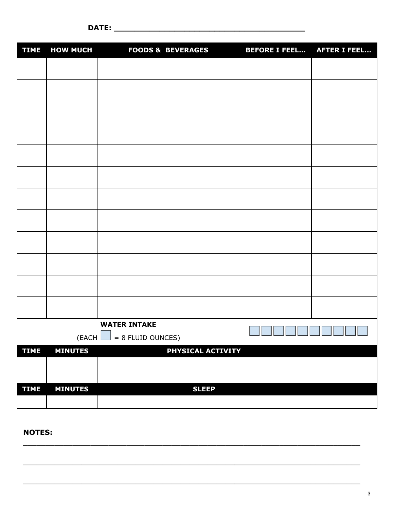| <b>TIME</b>                                           | <b>HOW MUCH</b> | <b>FOODS &amp; BEVERAGES</b> | <b>BEFORE I FEEL AFTER I FEEL</b> |  |
|-------------------------------------------------------|-----------------|------------------------------|-----------------------------------|--|
|                                                       |                 |                              |                                   |  |
|                                                       |                 |                              |                                   |  |
|                                                       |                 |                              |                                   |  |
|                                                       |                 |                              |                                   |  |
|                                                       |                 |                              |                                   |  |
|                                                       |                 |                              |                                   |  |
|                                                       |                 |                              |                                   |  |
|                                                       |                 |                              |                                   |  |
|                                                       |                 |                              |                                   |  |
|                                                       |                 |                              |                                   |  |
|                                                       |                 |                              |                                   |  |
|                                                       |                 |                              |                                   |  |
| <b>WATER INTAKE</b><br>$= 8$ FLUID OUNCES)<br>(EACH L |                 | $\Box$<br>$\mathcal{L}$      |                                   |  |
| <b>TIME</b>                                           | <b>MINUTES</b>  | PHYSICAL ACTIVITY            |                                   |  |
|                                                       |                 |                              |                                   |  |
|                                                       |                 |                              |                                   |  |
| <b>TIME</b>                                           | <b>MINUTES</b>  | <b>SLEEP</b>                 |                                   |  |
|                                                       |                 |                              |                                   |  |

\_\_\_\_\_\_\_\_\_\_\_\_\_\_\_\_\_\_\_\_\_\_\_\_\_\_\_\_\_\_\_\_\_\_\_\_\_\_\_\_\_\_\_\_\_\_\_\_\_\_\_\_\_\_\_\_\_\_\_\_\_\_\_\_\_\_\_\_\_\_\_\_\_\_\_

\_\_\_\_\_\_\_\_\_\_\_\_\_\_\_\_\_\_\_\_\_\_\_\_\_\_\_\_\_\_\_\_\_\_\_\_\_\_\_\_\_\_\_\_\_\_\_\_\_\_\_\_\_\_\_\_\_\_\_\_\_\_\_\_\_\_\_\_\_\_\_\_\_\_\_

\_\_\_\_\_\_\_\_\_\_\_\_\_\_\_\_\_\_\_\_\_\_\_\_\_\_\_\_\_\_\_\_\_\_\_\_\_\_\_\_\_\_\_\_\_\_\_\_\_\_\_\_\_\_\_\_\_\_\_\_\_\_\_\_\_\_\_\_\_\_\_\_\_\_\_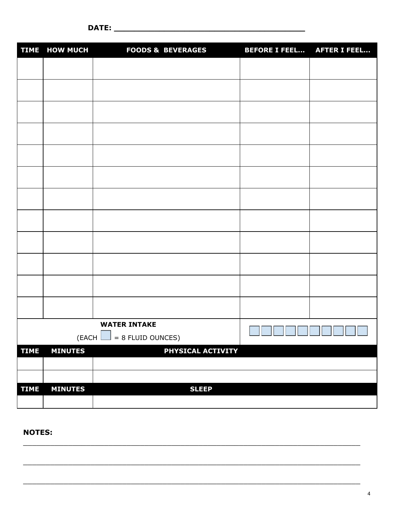|                                                                      | TIME HOW MUCH  | <b>FOODS &amp; BEVERAGES</b> | <b>BEFORE I FEEL</b> | <b>AFTER I FEEL</b> |
|----------------------------------------------------------------------|----------------|------------------------------|----------------------|---------------------|
|                                                                      |                |                              |                      |                     |
|                                                                      |                |                              |                      |                     |
|                                                                      |                |                              |                      |                     |
|                                                                      |                |                              |                      |                     |
|                                                                      |                |                              |                      |                     |
|                                                                      |                |                              |                      |                     |
|                                                                      |                |                              |                      |                     |
|                                                                      |                |                              |                      |                     |
|                                                                      |                |                              |                      |                     |
|                                                                      |                |                              |                      |                     |
|                                                                      |                |                              |                      |                     |
|                                                                      |                |                              |                      |                     |
| <b>WATER INTAKE</b><br>$\sim$<br>$(EACH \bigsqcup = 8 FLUID OUNCES)$ |                | $\mathbf{r}$                 |                      |                     |
| <b>TIME</b>                                                          | <b>MINUTES</b> | PHYSICAL ACTIVITY            |                      |                     |
|                                                                      |                |                              |                      |                     |
|                                                                      |                |                              |                      |                     |
| <b>TIME</b>                                                          | <b>MINUTES</b> | <b>SLEEP</b>                 |                      |                     |
|                                                                      |                |                              |                      |                     |

 $\mathcal{L}_\text{max} = \mathcal{L}_\text{max} = \mathcal{L}_\text{max} = \mathcal{L}_\text{max} = \mathcal{L}_\text{max} = \mathcal{L}_\text{max} = \mathcal{L}_\text{max} = \mathcal{L}_\text{max} = \mathcal{L}_\text{max} = \mathcal{L}_\text{max} = \mathcal{L}_\text{max} = \mathcal{L}_\text{max} = \mathcal{L}_\text{max} = \mathcal{L}_\text{max} = \mathcal{L}_\text{max} = \mathcal{L}_\text{max} = \mathcal{L}_\text{max} = \mathcal{L}_\text{max} = \mathcal{$ 

\_\_\_\_\_\_\_\_\_\_\_\_\_\_\_\_\_\_\_\_\_\_\_\_\_\_\_\_\_\_\_\_\_\_\_\_\_\_\_\_\_\_\_\_\_\_\_\_\_\_\_\_\_\_\_\_\_\_\_\_\_\_\_\_\_\_\_\_\_\_\_\_\_\_\_

\_\_\_\_\_\_\_\_\_\_\_\_\_\_\_\_\_\_\_\_\_\_\_\_\_\_\_\_\_\_\_\_\_\_\_\_\_\_\_\_\_\_\_\_\_\_\_\_\_\_\_\_\_\_\_\_\_\_\_\_\_\_\_\_\_\_\_\_\_\_\_\_\_\_\_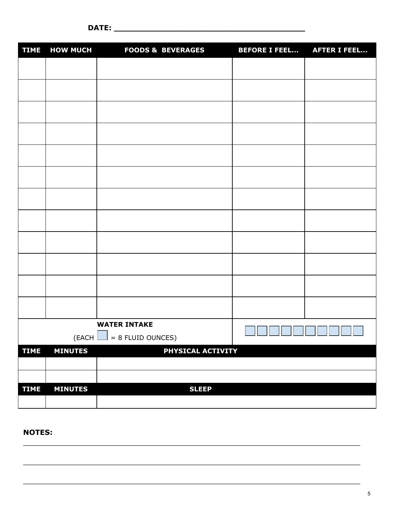| <b>TIME</b>                               | <b>HOW MUCH</b> | <b>FOODS &amp; BEVERAGES</b> | <b>BEFORE I FEEL</b> | <b>AFTER I FEEL</b> |
|-------------------------------------------|-----------------|------------------------------|----------------------|---------------------|
|                                           |                 |                              |                      |                     |
|                                           |                 |                              |                      |                     |
|                                           |                 |                              |                      |                     |
|                                           |                 |                              |                      |                     |
|                                           |                 |                              |                      |                     |
|                                           |                 |                              |                      |                     |
|                                           |                 |                              |                      |                     |
|                                           |                 |                              |                      |                     |
|                                           |                 |                              |                      |                     |
|                                           |                 |                              |                      |                     |
|                                           |                 |                              |                      |                     |
|                                           |                 |                              |                      |                     |
| <b>WATER INTAKE</b>                       |                 |                              |                      |                     |
| $($ EACH $\lfloor$<br>$= 8$ FLUID OUNCES) |                 |                              | Т                    | <u>starti e</u>     |
| <b>TIME</b>                               | <b>MINUTES</b>  | PHYSICAL ACTIVITY            |                      |                     |
|                                           |                 |                              |                      |                     |
|                                           |                 |                              |                      |                     |
| <b>TIME</b>                               | <b>MINUTES</b>  | <b>SLEEP</b>                 |                      |                     |
|                                           |                 |                              |                      |                     |

 $\mathcal{L}_\mathcal{L} = \mathcal{L}_\mathcal{L} = \mathcal{L}_\mathcal{L} = \mathcal{L}_\mathcal{L} = \mathcal{L}_\mathcal{L} = \mathcal{L}_\mathcal{L} = \mathcal{L}_\mathcal{L} = \mathcal{L}_\mathcal{L} = \mathcal{L}_\mathcal{L} = \mathcal{L}_\mathcal{L} = \mathcal{L}_\mathcal{L} = \mathcal{L}_\mathcal{L} = \mathcal{L}_\mathcal{L} = \mathcal{L}_\mathcal{L} = \mathcal{L}_\mathcal{L} = \mathcal{L}_\mathcal{L} = \mathcal{L}_\mathcal{L}$ 

\_\_\_\_\_\_\_\_\_\_\_\_\_\_\_\_\_\_\_\_\_\_\_\_\_\_\_\_\_\_\_\_\_\_\_\_\_\_\_\_\_\_\_\_\_\_\_\_\_\_\_\_\_\_\_\_\_\_\_\_\_\_\_\_\_\_\_\_\_\_\_\_\_\_\_

\_\_\_\_\_\_\_\_\_\_\_\_\_\_\_\_\_\_\_\_\_\_\_\_\_\_\_\_\_\_\_\_\_\_\_\_\_\_\_\_\_\_\_\_\_\_\_\_\_\_\_\_\_\_\_\_\_\_\_\_\_\_\_\_\_\_\_\_\_\_\_\_\_\_\_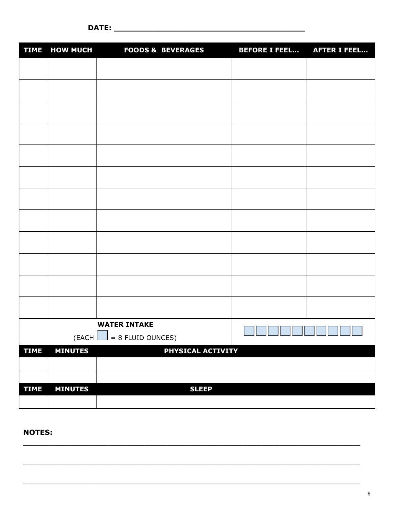| <b>TIME</b>                                                      | <b>HOW MUCH</b> | <b>FOODS &amp; BEVERAGES</b> | <b>BEFORE I FEEL</b> | <b>AFTER I FEEL</b> |
|------------------------------------------------------------------|-----------------|------------------------------|----------------------|---------------------|
|                                                                  |                 |                              |                      |                     |
|                                                                  |                 |                              |                      |                     |
|                                                                  |                 |                              |                      |                     |
|                                                                  |                 |                              |                      |                     |
|                                                                  |                 |                              |                      |                     |
|                                                                  |                 |                              |                      |                     |
|                                                                  |                 |                              |                      |                     |
|                                                                  |                 |                              |                      |                     |
|                                                                  |                 |                              |                      |                     |
|                                                                  |                 |                              |                      |                     |
|                                                                  |                 |                              |                      |                     |
|                                                                  |                 |                              |                      |                     |
| <b>WATER INTAKE</b><br>$= 8$ FLUID OUNCES)<br>$($ EACH $\lfloor$ |                 |                              |                      |                     |
| <b>TIME</b>                                                      | <b>MINUTES</b>  | PHYSICAL ACTIVITY            |                      |                     |
|                                                                  |                 |                              |                      |                     |
|                                                                  |                 |                              |                      |                     |
| <b>TIME</b>                                                      | <b>MINUTES</b>  | <b>SLEEP</b>                 |                      |                     |
|                                                                  |                 |                              |                      |                     |

 $\mathcal{L}_\mathcal{L} = \{ \mathcal{L}_\mathcal{L} = \{ \mathcal{L}_\mathcal{L} = \{ \mathcal{L}_\mathcal{L} = \{ \mathcal{L}_\mathcal{L} = \{ \mathcal{L}_\mathcal{L} = \{ \mathcal{L}_\mathcal{L} = \{ \mathcal{L}_\mathcal{L} = \{ \mathcal{L}_\mathcal{L} = \{ \mathcal{L}_\mathcal{L} = \{ \mathcal{L}_\mathcal{L} = \{ \mathcal{L}_\mathcal{L} = \{ \mathcal{L}_\mathcal{L} = \{ \mathcal{L}_\mathcal{L} = \{ \mathcal{L}_\mathcal{$ 

\_\_\_\_\_\_\_\_\_\_\_\_\_\_\_\_\_\_\_\_\_\_\_\_\_\_\_\_\_\_\_\_\_\_\_\_\_\_\_\_\_\_\_\_\_\_\_\_\_\_\_\_\_\_\_\_\_\_\_\_\_\_\_\_\_\_\_\_\_\_\_\_\_\_\_

\_\_\_\_\_\_\_\_\_\_\_\_\_\_\_\_\_\_\_\_\_\_\_\_\_\_\_\_\_\_\_\_\_\_\_\_\_\_\_\_\_\_\_\_\_\_\_\_\_\_\_\_\_\_\_\_\_\_\_\_\_\_\_\_\_\_\_\_\_\_\_\_\_\_\_